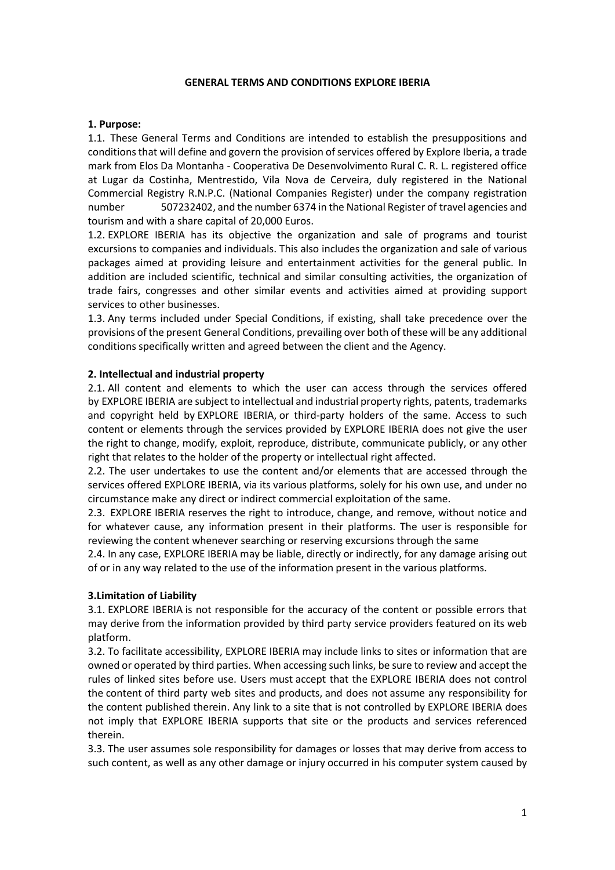#### **GENERAL TERMS AND CONDITIONS EXPLORE IBERIA**

#### **1. Purpose:**

1.1. These General Terms and Conditions are intended to establish the presuppositions and conditions that will define and govern the provision of services offered by Explore Iberia, a trade mark from Elos Da Montanha - Cooperativa De Desenvolvimento Rural C. R. L. registered office at Lugar da Costinha, Mentrestido, Vila Nova de Cerveira, duly registered in the National Commercial Registry R.N.P.C. (National Companies Register) under the company registration number 507232402, and the number 6374 in the National Register of travel agencies and tourism and with a share capital of 20,000 Euros.

1.2. EXPLORE IBERIA has its objective the organization and sale of programs and tourist excursions to companies and individuals. This also includes the organization and sale of various packages aimed at providing leisure and entertainment activities for the general public. In addition are included scientific, technical and similar consulting activities, the organization of trade fairs, congresses and other similar events and activities aimed at providing support services to other businesses.

1.3. Any terms included under Special Conditions, if existing, shall take precedence over the provisions of the present General Conditions, prevailing over both of these will be any additional conditions specifically written and agreed between the client and the Agency.

#### **2. Intellectual and industrial property**

2.1. All content and elements to which the user can access through the services offered by EXPLORE IBERIA are subject to intellectual and industrial property rights, patents, trademarks and copyright held by EXPLORE IBERIA, or third-party holders of the same. Access to such content or elements through the services provided by EXPLORE IBERIA does not give the user the right to change, modify, exploit, reproduce, distribute, communicate publicly, or any other right that relates to the holder of the property or intellectual right affected.

2.2. The user undertakes to use the content and/or elements that are accessed through the services offered EXPLORE IBERIA, via its various platforms, solely for his own use, and under no circumstance make any direct or indirect commercial exploitation of the same.

2.3. EXPLORE IBERIA reserves the right to introduce, change, and remove, without notice and for whatever cause, any information present in their platforms. The user is responsible for reviewing the content whenever searching or reserving excursions through the same

2.4. In any case, EXPLORE IBERIA may be liable, directly or indirectly, for any damage arising out of or in any way related to the use of the information present in the various platforms.

### **3.Limitation of Liability**

3.1. EXPLORE IBERIA is not responsible for the accuracy of the content or possible errors that may derive from the information provided by third party service providers featured on its web platform.

3.2. To facilitate accessibility, EXPLORE IBERIA may include links to sites or information that are owned or operated by third parties. When accessing such links, be sure to review and accept the rules of linked sites before use. Users must accept that the EXPLORE IBERIA does not control the content of third party web sites and products, and does not assume any responsibility for the content published therein. Any link to a site that is not controlled by EXPLORE IBERIA does not imply that EXPLORE IBERIA supports that site or the products and services referenced therein.

3.3. The user assumes sole responsibility for damages or losses that may derive from access to such content, as well as any other damage or injury occurred in his computer system caused by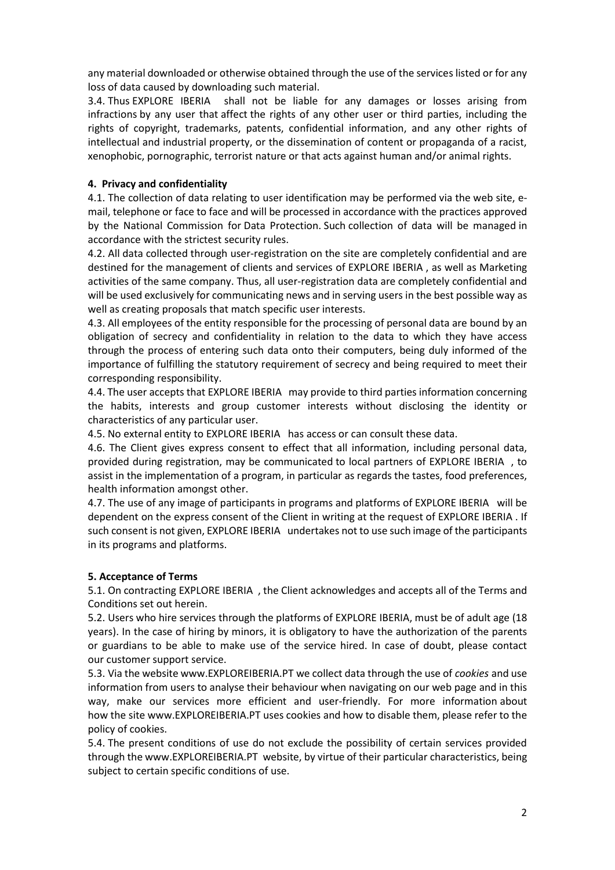any material downloaded or otherwise obtained through the use of the services listed or for any loss of data caused by downloading such material.

3.4. Thus EXPLORE IBERIA shall not be liable for any damages or losses arising from infractions by any user that affect the rights of any other user or third parties, including the rights of copyright, trademarks, patents, confidential information, and any other rights of intellectual and industrial property, or the dissemination of content or propaganda of a racist, xenophobic, pornographic, terrorist nature or that acts against human and/or animal rights.

### **4. Privacy and confidentiality**

4.1. The collection of data relating to user identification may be performed via the web site, email, telephone or face to face and will be processed in accordance with the practices approved by the National Commission for Data Protection. Such collection of data will be managed in accordance with the strictest security rules.

4.2. All data collected through user-registration on the site are completely confidential and are destined for the management of clients and services of EXPLORE IBERIA , as well as Marketing activities of the same company. Thus, all user-registration data are completely confidential and will be used exclusively for communicating news and in serving users in the best possible way as well as creating proposals that match specific user interests.

4.3. All employees of the entity responsible for the processing of personal data are bound by an obligation of secrecy and confidentiality in relation to the data to which they have access through the process of entering such data onto their computers, being duly informed of the importance of fulfilling the statutory requirement of secrecy and being required to meet their corresponding responsibility.

4.4. The user accepts that EXPLORE IBERIA may provide to third parties information concerning the habits, interests and group customer interests without disclosing the identity or characteristics of any particular user.

4.5. No external entity to EXPLORE IBERIA has access or can consult these data.

4.6. The Client gives express consent to effect that all information, including personal data, provided during registration, may be communicated to local partners of EXPLORE IBERIA , to assist in the implementation of a program, in particular as regards the tastes, food preferences, health information amongst other.

4.7. The use of any image of participants in programs and platforms of EXPLORE IBERIA will be dependent on the express consent of the Client in writing at the request of EXPLORE IBERIA . If such consent is not given, EXPLORE IBERIA undertakes not to use such image of the participants in its programs and platforms.

# **5. Acceptance of Terms**

5.1. On contracting EXPLORE IBERIA , the Client acknowledges and accepts all of the Terms and Conditions set out herein.

5.2. Users who hire services through the platforms of EXPLORE IBERIA, must be of adult age (18 years). In the case of hiring by minors, it is obligatory to have the authorization of the parents or guardians to be able to make use of the service hired. In case of doubt, please contact our customer support service.

5.3. Via the website [www.EXPLOREIBERIA.PT](http://www.exploreiberia.pt/) we collect data through the use of *cookies* and use information from users to analyse their behaviour when navigating on our web page and in this way, make our services more efficient and user-friendly. For more information about how the site [www.EXPLOREIBERIA.PT](http://www.exploreiberia.pt/) uses cookies and how to disable them, please refer to the policy of cookies.

5.4. The present conditions of use do not exclude the possibility of certain services provided through th[e www.EXPLOREIBERIA.PT](http://www.exploreiberia.pt/) website, by virtue of their particular characteristics, being subject to certain specific conditions of use.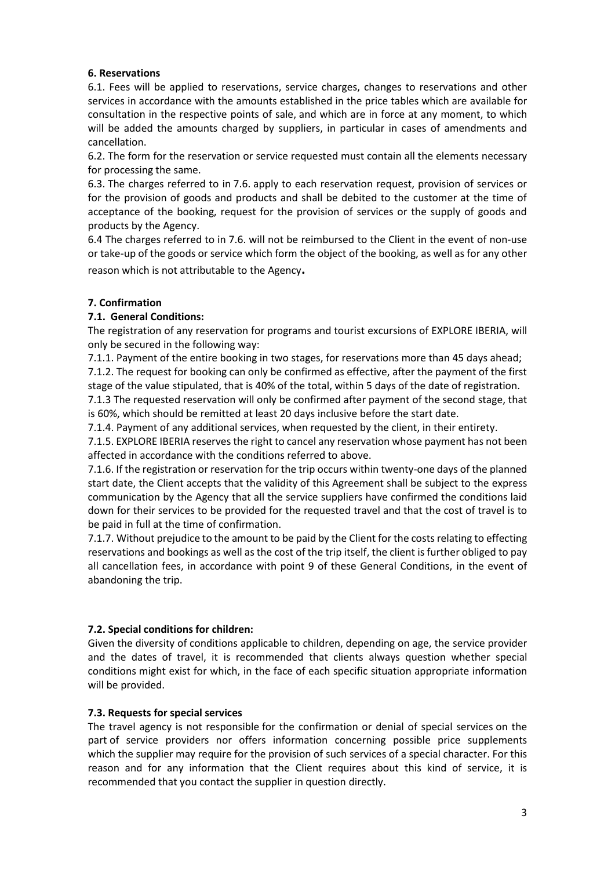## **6. Reservations**

6.1. Fees will be applied to reservations, service charges, changes to reservations and other services in accordance with the amounts established in the price tables which are available for consultation in the respective points of sale, and which are in force at any moment, to which will be added the amounts charged by suppliers, in particular in cases of amendments and cancellation.

6.2. The form for the reservation or service requested must contain all the elements necessary for processing the same.

6.3. The charges referred to in 7.6. apply to each reservation request, provision of services or for the provision of goods and products and shall be debited to the customer at the time of acceptance of the booking, request for the provision of services or the supply of goods and products by the Agency.

6.4 The charges referred to in 7.6. will not be reimbursed to the Client in the event of non-use or take-up of the goods or service which form the object of the booking, as well as for any other reason which is not attributable to the Agency**.**

## **7. Confirmation**

## **7.1. General Conditions:**

The registration of any reservation for programs and tourist excursions of EXPLORE IBERIA, will only be secured in the following way:

7.1.1. Payment of the entire booking in two stages, for reservations more than 45 days ahead;

7.1.2. The request for booking can only be confirmed as effective, after the payment of the first stage of the value stipulated, that is 40% of the total, within 5 days of the date of registration.

7.1.3 The requested reservation will only be confirmed after payment of the second stage, that is 60%, which should be remitted at least 20 days inclusive before the start date.

7.1.4. Payment of any additional services, when requested by the client, in their entirety.

7.1.5. EXPLORE IBERIA reserves the right to cancel any reservation whose payment has not been affected in accordance with the conditions referred to above.

7.1.6. If the registration or reservation for the trip occurs within twenty-one days of the planned start date, the Client accepts that the validity of this Agreement shall be subject to the express communication by the Agency that all the service suppliers have confirmed the conditions laid down for their services to be provided for the requested travel and that the cost of travel is to be paid in full at the time of confirmation.

7.1.7. Without prejudice to the amount to be paid by the Client for the costs relating to effecting reservations and bookings as well as the cost of the trip itself, the client is further obliged to pay all cancellation fees, in accordance with point 9 of these General Conditions, in the event of abandoning the trip.

# **7.2. Special conditions for children:**

Given the diversity of conditions applicable to children, depending on age, the service provider and the dates of travel, it is recommended that clients always question whether special conditions might exist for which, in the face of each specific situation appropriate information will be provided.

### **7.3. Requests for special services**

The travel agency is not responsible for the confirmation or denial of special services on the part of service providers nor offers information concerning possible price supplements which the supplier may require for the provision of such services of a special character. For this reason and for any information that the Client requires about this kind of service, it is recommended that you contact the supplier in question directly.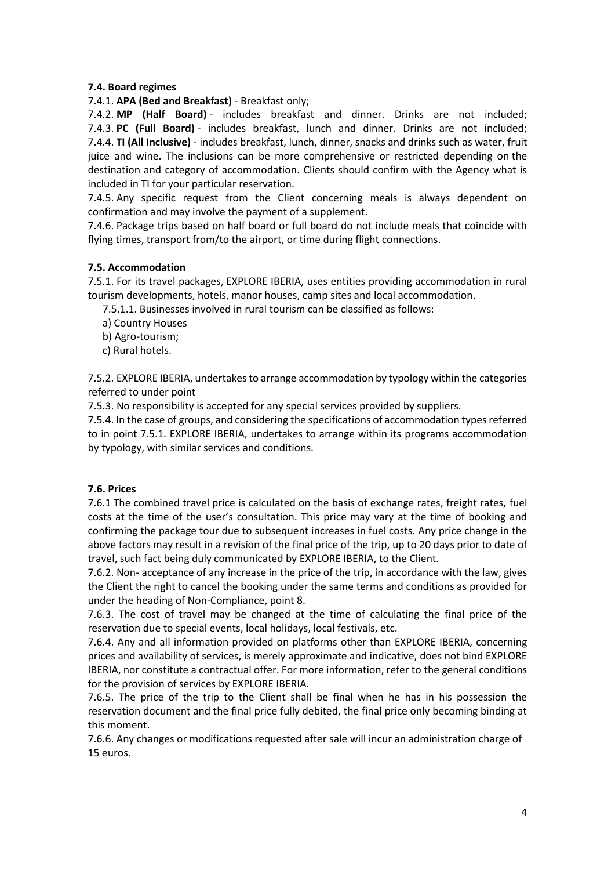## **7.4. Board regimes**

7.4.1. **APA (Bed and Breakfast)** - Breakfast only;

7.4.2. **MP (Half Board)** - includes breakfast and dinner. Drinks are not included; 7.4.3. **PC (Full Board)** - includes breakfast, lunch and dinner. Drinks are not included; 7.4.4. **TI (All Inclusive)** - includes breakfast, lunch, dinner, snacks and drinks such as water, fruit juice and wine. The inclusions can be more comprehensive or restricted depending on the destination and category of accommodation. Clients should confirm with the Agency what is included in TI for your particular reservation.

7.4.5. Any specific request from the Client concerning meals is always dependent on confirmation and may involve the payment of a supplement.

7.4.6. Package trips based on half board or full board do not include meals that coincide with flying times, transport from/to the airport, or time during flight connections.

## **7.5. Accommodation**

7.5.1. For its travel packages, EXPLORE IBERIA, uses entities providing accommodation in rural tourism developments, hotels, manor houses, camp sites and local accommodation.

7.5.1.1. Businesses involved in rural tourism can be classified as follows:

- a) Country Houses
- b) Agro-tourism;
- c) Rural hotels.

7.5.2. EXPLORE IBERIA, undertakes to arrange accommodation by typology within the categories referred to under point

7.5.3. No responsibility is accepted for any special services provided by suppliers.

7.5.4. In the case of groups, and considering the specifications of accommodation types referred to in point 7.5.1. EXPLORE IBERIA, undertakes to arrange within its programs accommodation by typology, with similar services and conditions.

### **7.6. Prices**

7.6.1 The combined travel price is calculated on the basis of exchange rates, freight rates, fuel costs at the time of the user's consultation. This price may vary at the time of booking and confirming the package tour due to subsequent increases in fuel costs. Any price change in the above factors may result in a revision of the final price of the trip, up to 20 days prior to date of travel, such fact being duly communicated by EXPLORE IBERIA, to the Client.

7.6.2. Non- acceptance of any increase in the price of the trip, in accordance with the law, gives the Client the right to cancel the booking under the same terms and conditions as provided for under the heading of Non-Compliance, point 8.

7.6.3. The cost of travel may be changed at the time of calculating the final price of the reservation due to special events, local holidays, local festivals, etc.

7.6.4. Any and all information provided on platforms other than EXPLORE IBERIA, concerning prices and availability of services, is merely approximate and indicative, does not bind EXPLORE IBERIA, nor constitute a contractual offer. For more information, refer to the general conditions for the provision of services by EXPLORE IBERIA.

7.6.5. The price of the trip to the Client shall be final when he has in his possession the reservation document and the final price fully debited, the final price only becoming binding at this moment.

7.6.6. Any changes or modifications requested after sale will incur an administration charge of 15 euros.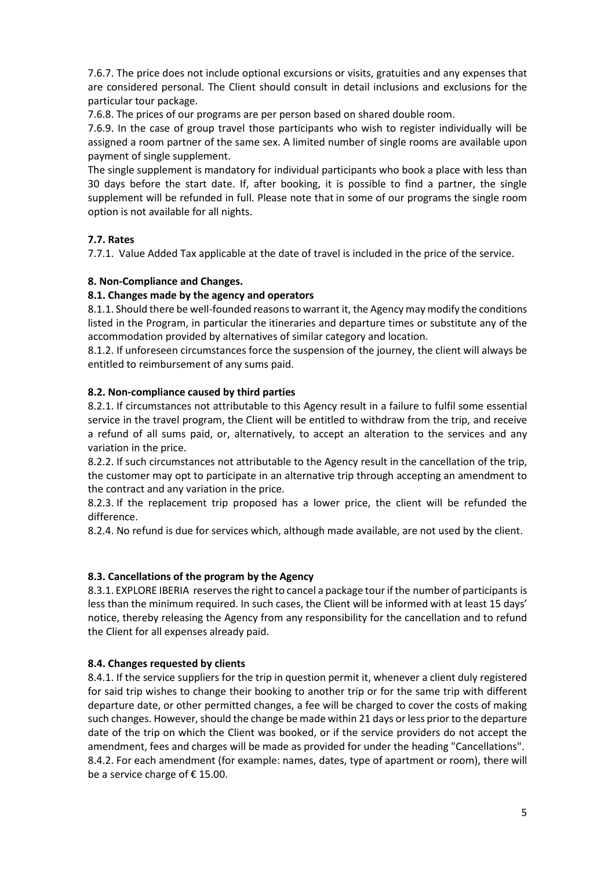7.6.7. The price does not include optional excursions or visits, gratuities and any expenses that are considered personal. The Client should consult in detail inclusions and exclusions for the particular tour package.

7.6.8. The prices of our programs are per person based on shared double room.

7.6.9. In the case of group travel those participants who wish to register individually will be assigned a room partner of the same sex. A limited number of single rooms are available upon payment of single supplement.

The single supplement is mandatory for individual participants who book a place with less than 30 days before the start date. If, after booking, it is possible to find a partner, the single supplement will be refunded in full. Please note that in some of our programs the single room option is not available for all nights.

# **7.7. Rates**

7.7.1. Value Added Tax applicable at the date of travel is included in the price of the service.

# **8. Non-Compliance and Changes.**

## **8.1. Changes made by the agency and operators**

8.1.1. Should there be well-founded reasons to warrant it, the Agency may modify the conditions listed in the Program, in particular the itineraries and departure times or substitute any of the accommodation provided by alternatives of similar category and location.

8.1.2. If unforeseen circumstances force the suspension of the journey, the client will always be entitled to reimbursement of any sums paid.

## **8.2. Non-compliance caused by third parties**

8.2.1. If circumstances not attributable to this Agency result in a failure to fulfil some essential service in the travel program, the Client will be entitled to withdraw from the trip, and receive a refund of all sums paid, or, alternatively, to accept an alteration to the services and any variation in the price.

8.2.2. If such circumstances not attributable to the Agency result in the cancellation of the trip, the customer may opt to participate in an alternative trip through accepting an amendment to the contract and any variation in the price.

8.2.3. If the replacement trip proposed has a lower price, the client will be refunded the difference.

8.2.4. No refund is due for services which, although made available, are not used by the client.

# **8.3. Cancellations of the program by the Agency**

8.3.1. EXPLORE IBERIA reserves the right to cancel a package tour if the number of participants is less than the minimum required. In such cases, the Client will be informed with at least 15 days' notice, thereby releasing the Agency from any responsibility for the cancellation and to refund the Client for all expenses already paid.

# **8.4. Changes requested by clients**

8.4.1. If the service suppliers for the trip in question permit it, whenever a client duly registered for said trip wishes to change their booking to another trip or for the same trip with different departure date, or other permitted changes, a fee will be charged to cover the costs of making such changes. However, should the change be made within 21 days or less prior to the departure date of the trip on which the Client was booked, or if the service providers do not accept the amendment, fees and charges will be made as provided for under the heading "Cancellations". 8.4.2. For each amendment (for example: names, dates, type of apartment or room), there will be a service charge of €15.00.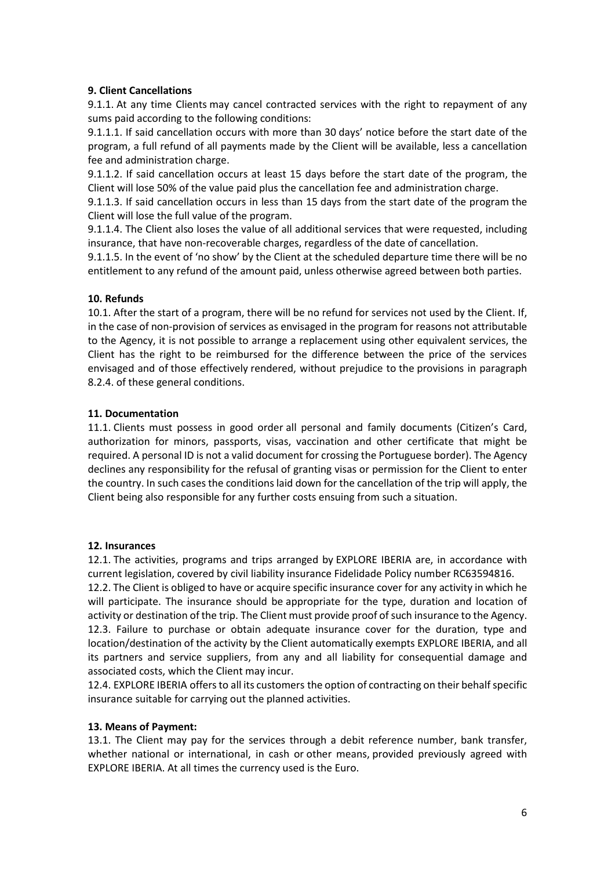## **9. Client Cancellations**

9.1.1. At any time Clients may cancel contracted services with the right to repayment of any sums paid according to the following conditions:

9.1.1.1. If said cancellation occurs with more than 30 days' notice before the start date of the program, a full refund of all payments made by the Client will be available, less a cancellation fee and administration charge.

9.1.1.2. If said cancellation occurs at least 15 days before the start date of the program, the Client will lose 50% of the value paid plus the cancellation fee and administration charge.

9.1.1.3. If said cancellation occurs in less than 15 days from the start date of the program the Client will lose the full value of the program.

9.1.1.4. The Client also loses the value of all additional services that were requested, including insurance, that have non-recoverable charges, regardless of the date of cancellation.

9.1.1.5. In the event of 'no show' by the Client at the scheduled departure time there will be no entitlement to any refund of the amount paid, unless otherwise agreed between both parties.

## **10. Refunds**

10.1. After the start of a program, there will be no refund for services not used by the Client. If, in the case of non-provision of services as envisaged in the program for reasons not attributable to the Agency, it is not possible to arrange a replacement using other equivalent services, the Client has the right to be reimbursed for the difference between the price of the services envisaged and of those effectively rendered, without prejudice to the provisions in paragraph 8.2.4. of these general conditions.

## **11. Documentation**

11.1. Clients must possess in good order all personal and family documents (Citizen's Card, authorization for minors, passports, visas, vaccination and other certificate that might be required. A personal ID is not a valid document for crossing the Portuguese border). The Agency declines any responsibility for the refusal of granting visas or permission for the Client to enter the country. In such cases the conditions laid down for the cancellation of the trip will apply, the Client being also responsible for any further costs ensuing from such a situation.

### **12. Insurances**

12.1. The activities, programs and trips arranged by EXPLORE IBERIA are, in accordance with current legislation, covered by civil liability insurance Fidelidade Policy number RC63594816.

12.2. The Client is obliged to have or acquire specific insurance cover for any activity in which he will participate. The insurance should be appropriate for the type, duration and location of activity or destination of the trip. The Client must provide proof of such insurance to the Agency. 12.3. Failure to purchase or obtain adequate insurance cover for the duration, type and location/destination of the activity by the Client automatically exempts EXPLORE IBERIA, and all its partners and service suppliers, from any and all liability for consequential damage and associated costs, which the Client may incur.

12.4. EXPLORE IBERIA offers to all its customers the option of contracting on their behalfspecific insurance suitable for carrying out the planned activities.

### **13. Means of Payment:**

13.1. The Client may pay for the services through a debit reference number, bank transfer, whether national or international, in cash or other means, provided previously agreed with EXPLORE IBERIA. At all times the currency used is the Euro.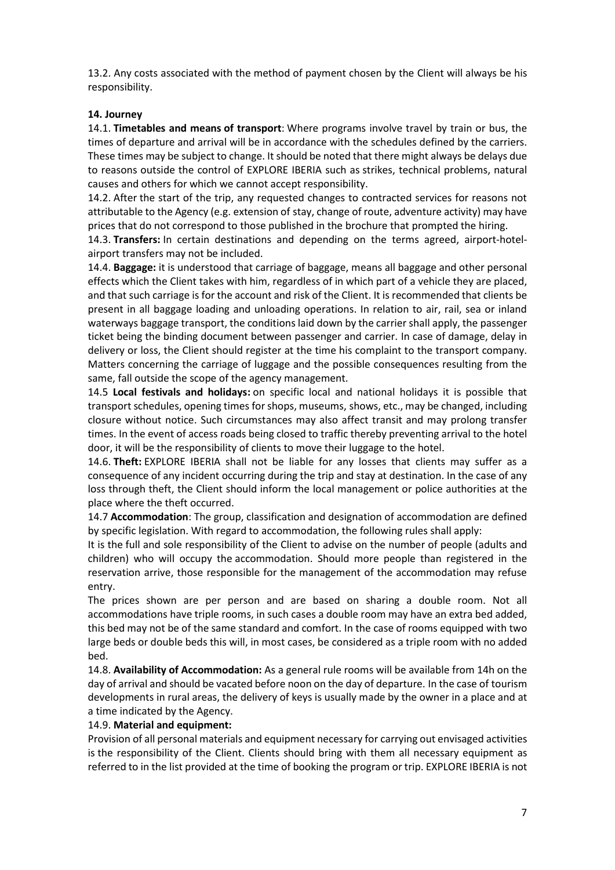13.2. Any costs associated with the method of payment chosen by the Client will always be his responsibility.

## **14. Journey**

14.1. **Timetables and means of transport**: Where programs involve travel by train or bus, the times of departure and arrival will be in accordance with the schedules defined by the carriers. These times may be subject to change. It should be noted that there might always be delays due to reasons outside the control of EXPLORE IBERIA such as strikes, technical problems, natural causes and others for which we cannot accept responsibility.

14.2. After the start of the trip, any requested changes to contracted services for reasons not attributable to the Agency (e.g. extension of stay, change of route, adventure activity) may have prices that do not correspond to those published in the brochure that prompted the hiring.

14.3. **Transfers:** In certain destinations and depending on the terms agreed, airport-hotelairport transfers may not be included.

14.4. **Baggage:** it is understood that carriage of baggage, means all baggage and other personal effects which the Client takes with him, regardless of in which part of a vehicle they are placed, and that such carriage is for the account and risk of the Client. It is recommended that clients be present in all baggage loading and unloading operations. In relation to air, rail, sea or inland waterways baggage transport, the conditions laid down by the carrier shall apply, the passenger ticket being the binding document between passenger and carrier. In case of damage, delay in delivery or loss, the Client should register at the time his complaint to the transport company. Matters concerning the carriage of luggage and the possible consequences resulting from the same, fall outside the scope of the agency management.

14.5 **Local festivals and holidays:** on specific local and national holidays it is possible that transport schedules, opening times for shops, museums, shows, etc., may be changed, including closure without notice. Such circumstances may also affect transit and may prolong transfer times. In the event of access roads being closed to traffic thereby preventing arrival to the hotel door, it will be the responsibility of clients to move their luggage to the hotel.

14.6. **Theft:** EXPLORE IBERIA shall not be liable for any losses that clients may suffer as a consequence of any incident occurring during the trip and stay at destination. In the case of any loss through theft, the Client should inform the local management or police authorities at the place where the theft occurred.

14.7 **Accommodation**: The group, classification and designation of accommodation are defined by specific legislation. With regard to accommodation, the following rules shall apply:

It is the full and sole responsibility of the Client to advise on the number of people (adults and children) who will occupy the accommodation. Should more people than registered in the reservation arrive, those responsible for the management of the accommodation may refuse entry.

The prices shown are per person and are based on sharing a double room. Not all accommodations have triple rooms, in such cases a double room may have an extra bed added, this bed may not be of the same standard and comfort. In the case of rooms equipped with two large beds or double beds this will, in most cases, be considered as a triple room with no added bed.

14.8. **Availability of Accommodation:** As a general rule rooms will be available from 14h on the day of arrival and should be vacated before noon on the day of departure. In the case of tourism developments in rural areas, the delivery of keys is usually made by the owner in a place and at a time indicated by the Agency.

### 14.9. **Material and equipment:**

Provision of all personal materials and equipment necessary for carrying out envisaged activities is the responsibility of the Client. Clients should bring with them all necessary equipment as referred to in the list provided at the time of booking the program or trip. EXPLORE IBERIA is not